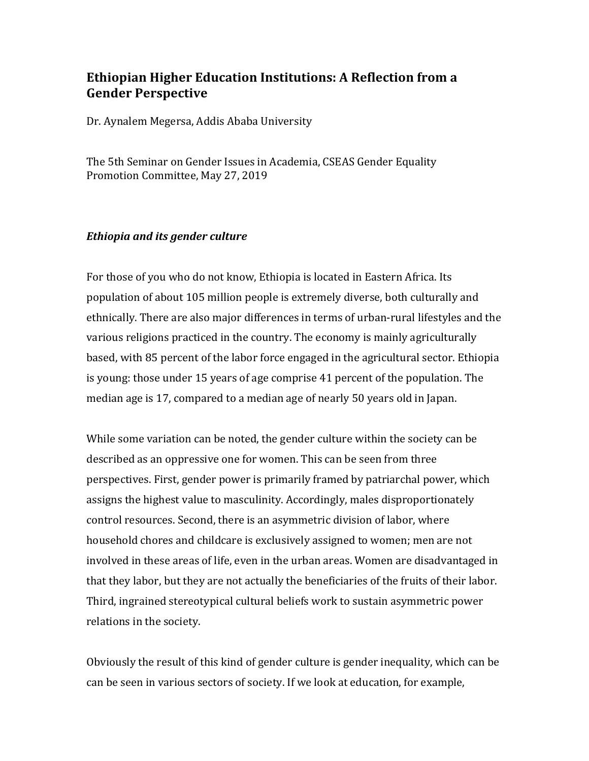# **Ethiopian Higher Education Institutions: A Reflection from a Gender Perspective**

Dr. Aynalem Megersa, Addis Ababa University

The 5th Seminar on Gender Issues in Academia, CSEAS Gender Equality Promotion Committee, May 27, 2019

## *Ethiopia and its gender culture*

For those of you who do not know, Ethiopia is located in Eastern Africa. Its population of about 105 million people is extremely diverse, both culturally and ethnically. There are also major differences in terms of urban-rural lifestyles and the various religions practiced in the country. The economy is mainly agriculturally based, with 85 percent of the labor force engaged in the agricultural sector. Ethiopia is young: those under 15 years of age comprise 41 percent of the population. The median age is 17, compared to a median age of nearly 50 years old in Japan.

While some variation can be noted, the gender culture within the society can be described as an oppressive one for women. This can be seen from three perspectives. First, gender power is primarily framed by patriarchal power, which assigns the highest value to masculinity. Accordingly, males disproportionately control resources. Second, there is an asymmetric division of labor, where household chores and childcare is exclusively assigned to women; men are not involved in these areas of life, even in the urban areas. Women are disadvantaged in that they labor, but they are not actually the beneficiaries of the fruits of their labor. Third, ingrained stereotypical cultural beliefs work to sustain asymmetric power relations in the society.

Obviously the result of this kind of gender culture is gender inequality, which can be can be seen in various sectors of society. If we look at education, for example,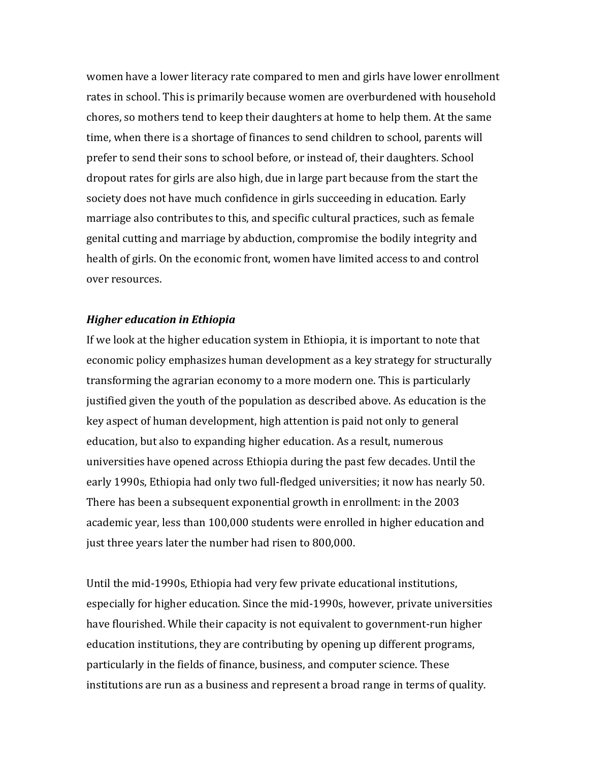women have a lower literacy rate compared to men and girls have lower enrollment rates in school. This is primarily because women are overburdened with household chores, so mothers tend to keep their daughters at home to help them. At the same time, when there is a shortage of finances to send children to school, parents will prefer to send their sons to school before, or instead of, their daughters. School dropout rates for girls are also high, due in large part because from the start the society does not have much confidence in girls succeeding in education. Early marriage also contributes to this, and specific cultural practices, such as female genital cutting and marriage by abduction, compromise the bodily integrity and health of girls. On the economic front, women have limited access to and control over resources.

#### *Higher education in Ethiopia*

If we look at the higher education system in Ethiopia, it is important to note that economic policy emphasizes human development as a key strategy for structurally transforming the agrarian economy to a more modern one. This is particularly justified given the youth of the population as described above. As education is the key aspect of human development, high attention is paid not only to general education, but also to expanding higher education. As a result, numerous universities have opened across Ethiopia during the past few decades. Until the early 1990s, Ethiopia had only two full-fledged universities; it now has nearly 50. There has been a subsequent exponential growth in enrollment: in the 2003 academic year, less than 100,000 students were enrolled in higher education and just three years later the number had risen to 800,000.

Until the mid-1990s, Ethiopia had very few private educational institutions, especially for higher education. Since the mid-1990s, however, private universities have flourished. While their capacity is not equivalent to government-run higher education institutions, they are contributing by opening up different programs, particularly in the fields of finance, business, and computer science. These institutions are run as a business and represent a broad range in terms of quality.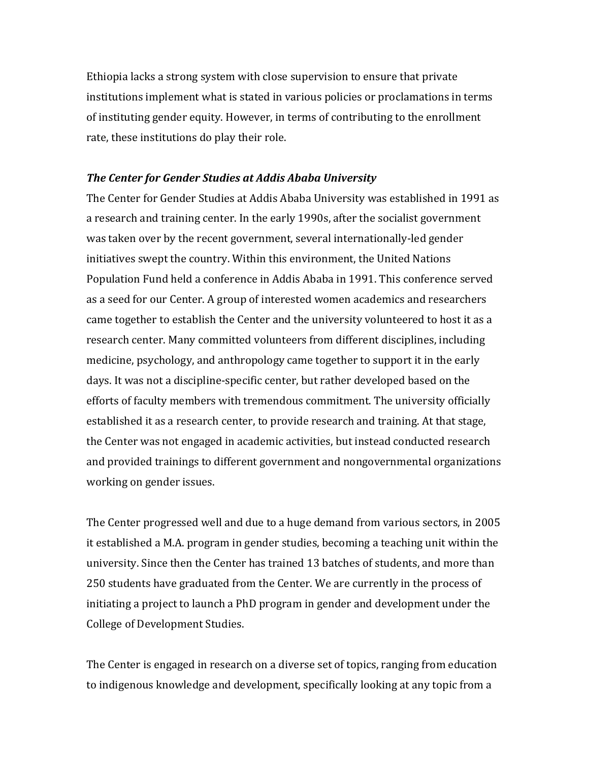Ethiopia lacks a strong system with close supervision to ensure that private institutions implement what is stated in various policies or proclamations in terms of instituting gender equity. However, in terms of contributing to the enrollment rate, these institutions do play their role.

### **The Center for Gender Studies at Addis Ababa University**

The Center for Gender Studies at Addis Ababa University was established in 1991 as a research and training center. In the early 1990s, after the socialist government was taken over by the recent government, several internationally-led gender initiatives swept the country. Within this environment, the United Nations Population Fund held a conference in Addis Ababa in 1991. This conference served as a seed for our Center. A group of interested women academics and researchers came together to establish the Center and the university volunteered to host it as a research center. Many committed volunteers from different disciplines, including medicine, psychology, and anthropology came together to support it in the early days. It was not a discipline-specific center, but rather developed based on the efforts of faculty members with tremendous commitment. The university officially established it as a research center, to provide research and training. At that stage, the Center was not engaged in academic activities, but instead conducted research and provided trainings to different government and nongovernmental organizations working on gender issues.

The Center progressed well and due to a huge demand from various sectors, in 2005 it established a M.A. program in gender studies, becoming a teaching unit within the university. Since then the Center has trained 13 batches of students, and more than 250 students have graduated from the Center. We are currently in the process of initiating a project to launch a PhD program in gender and development under the College of Development Studies.

The Center is engaged in research on a diverse set of topics, ranging from education to indigenous knowledge and development, specifically looking at any topic from a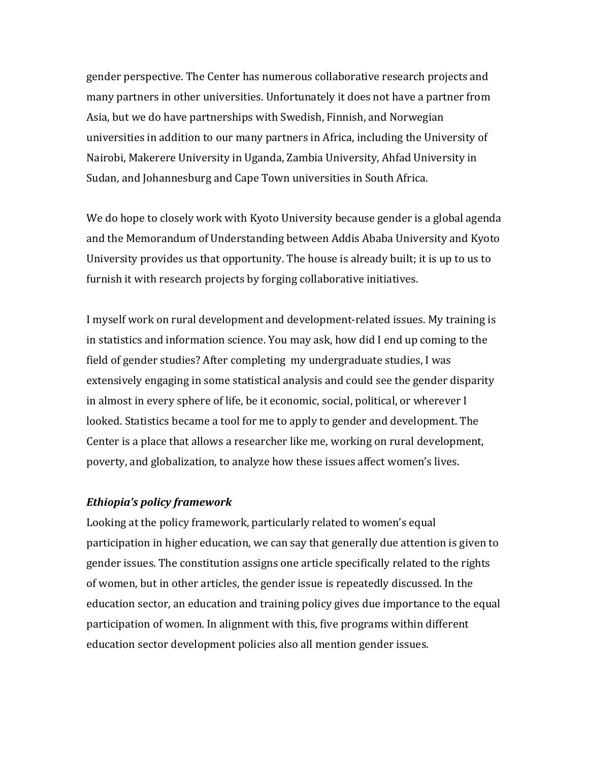gender perspective. The Center has numerous collaborative research projects and many partners in other universities. Unfortunately it does not have a partner from Asia, but we do have partnerships with Swedish, Finnish, and Norwegian universities in addition to our many partners in Africa, including the University of Nairobi, Makerere University in Uganda, Zambia University, Ahfad University in Sudan, and Johannesburg and Cape Town universities in South Africa.

We do hope to closely work with Kyoto University because gender is a global agenda and the Memorandum of Understanding between Addis Ababa University and Kyoto University provides us that opportunity. The house is already built; it is up to us to furnish it with research projects by forging collaborative initiatives.

I myself work on rural development and development-related issues. My training is in statistics and information science. You may ask, how did I end up coming to the field of gender studies? After completing my undergraduate studies, I was extensively engaging in some statistical analysis and could see the gender disparity in almost in every sphere of life, be it economic, social, political, or wherever I looked. Statistics became a tool for me to apply to gender and development. The Center is a place that allows a researcher like me, working on rural development, poverty, and globalization, to analyze how these issues affect women's lives.

### *Ethiopia's policy framework*

Looking at the policy framework, particularly related to women's equal participation in higher education, we can say that generally due attention is given to gender issues. The constitution assigns one article specifically related to the rights of women, but in other articles, the gender issue is repeatedly discussed. In the education sector, an education and training policy gives due importance to the equal participation of women. In alignment with this, five programs within different education sector development policies also all mention gender issues.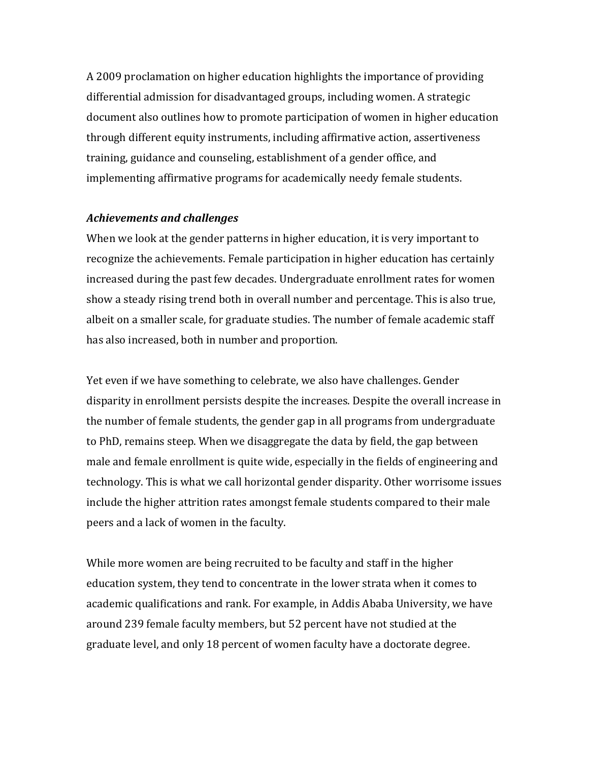A 2009 proclamation on higher education highlights the importance of providing differential admission for disadvantaged groups, including women. A strategic document also outlines how to promote participation of women in higher education through different equity instruments, including affirmative action, assertiveness training, guidance and counseling, establishment of a gender office, and implementing affirmative programs for academically needy female students.

#### *Achievements and challenges*

When we look at the gender patterns in higher education, it is very important to recognize the achievements. Female participation in higher education has certainly increased during the past few decades. Undergraduate enrollment rates for women show a steady rising trend both in overall number and percentage. This is also true, albeit on a smaller scale, for graduate studies. The number of female academic staff has also increased, both in number and proportion.

Yet even if we have something to celebrate, we also have challenges. Gender disparity in enrollment persists despite the increases. Despite the overall increase in the number of female students, the gender gap in all programs from undergraduate to PhD, remains steep. When we disaggregate the data by field, the gap between male and female enrollment is quite wide, especially in the fields of engineering and technology. This is what we call horizontal gender disparity. Other worrisome issues include the higher attrition rates amongst female students compared to their male peers and a lack of women in the faculty.

While more women are being recruited to be faculty and staff in the higher education system, they tend to concentrate in the lower strata when it comes to academic qualifications and rank. For example, in Addis Ababa University, we have around 239 female faculty members, but 52 percent have not studied at the graduate level, and only 18 percent of women faculty have a doctorate degree.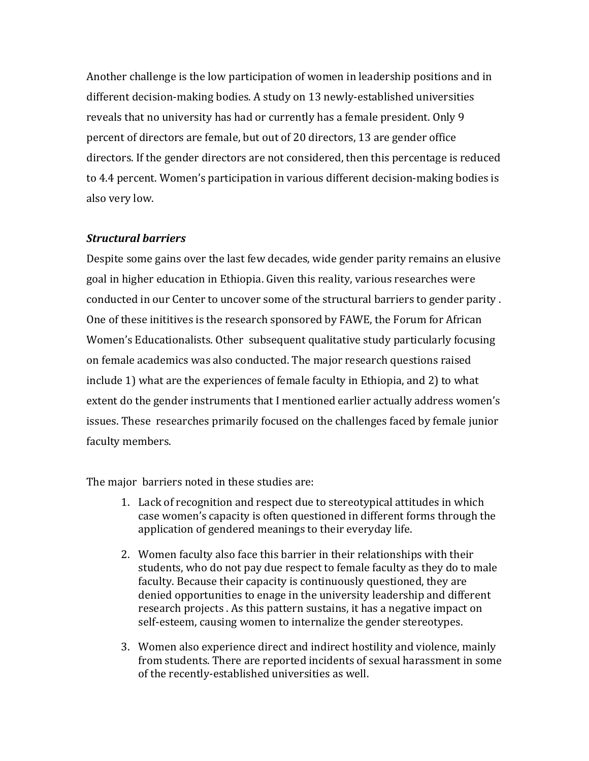Another challenge is the low participation of women in leadership positions and in different decision-making bodies. A study on 13 newly-established universities reveals that no university has had or currently has a female president. Only 9 percent of directors are female, but out of 20 directors, 13 are gender office directors. If the gender directors are not considered, then this percentage is reduced to 4.4 percent. Women's participation in various different decision-making bodies is also very low.

## *Structural barriers*

Despite some gains over the last few decades, wide gender parity remains an elusive goal in higher education in Ethiopia. Given this reality, various researches were conducted in our Center to uncover some of the structural barriers to gender parity. One of these inititives is the research sponsored by FAWE, the Forum for African Women's Educationalists. Other subsequent qualitative study particularly focusing on female academics was also conducted. The major research questions raised include 1) what are the experiences of female faculty in Ethiopia, and 2) to what extent do the gender instruments that I mentioned earlier actually address women's issues. These researches primarily focused on the challenges faced by female junior faculty members.

The major barriers noted in these studies are:

- 1. Lack of recognition and respect due to stereotypical attitudes in which case women's capacity is often questioned in different forms through the application of gendered meanings to their everyday life.
- 2. Women faculty also face this barrier in their relationships with their students, who do not pay due respect to female faculty as they do to male faculty. Because their capacity is continuously questioned, they are denied opportunities to enage in the university leadership and different research projects . As this pattern sustains, it has a negative impact on self-esteem, causing women to internalize the gender stereotypes.
- 3. Women also experience direct and indirect hostility and violence, mainly from students. There are reported incidents of sexual harassment in some of the recently-established universities as well.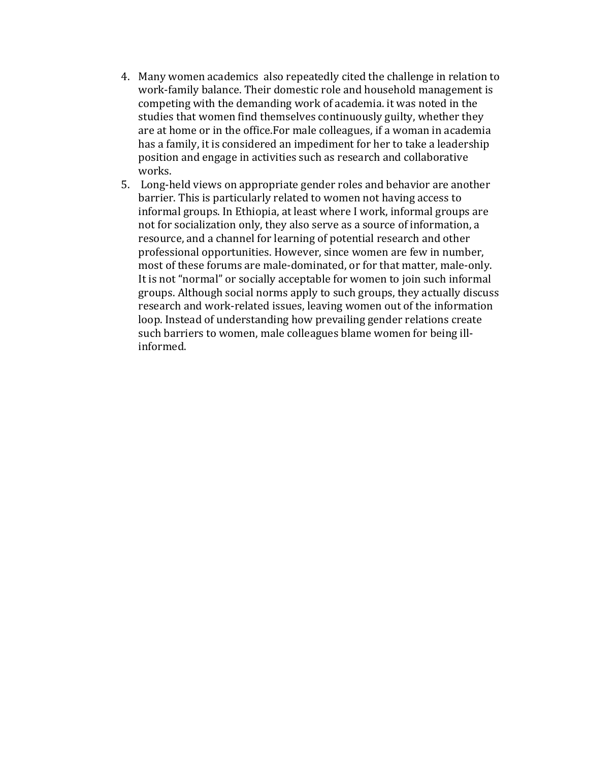- 4. Many women academics also repeatedly cited the challenge in relation to work-family balance. Their domestic role and household management is competing with the demanding work of academia. it was noted in the studies that women find themselves continuously guilty, whether they are at home or in the office. For male colleagues, if a woman in academia has a family, it is considered an impediment for her to take a leadership position and engage in activities such as research and collaborative works.
- 5. Long-held views on appropriate gender roles and behavior are another barrier. This is particularly related to women not having access to informal groups. In Ethiopia, at least where I work, informal groups are not for socialization only, they also serve as a source of information, a resource, and a channel for learning of potential research and other professional opportunities. However, since women are few in number, most of these forums are male-dominated, or for that matter, male-only. It is not "normal" or socially acceptable for women to join such informal groups. Although social norms apply to such groups, they actually discuss research and work-related issues, leaving women out of the information loop. Instead of understanding how prevailing gender relations create such barriers to women, male colleagues blame women for being illinformed.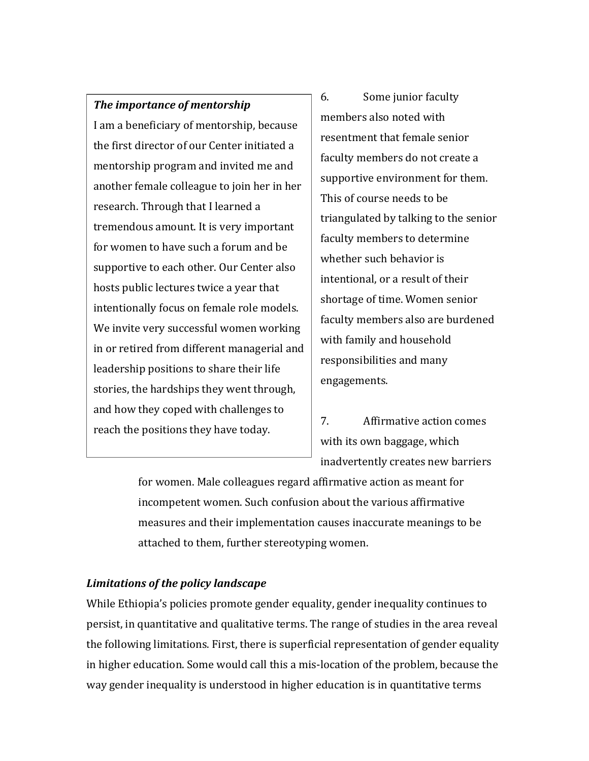# **The importance of mentorship**

I am a beneficiary of mentorship, because the first director of our Center initiated a mentorship program and invited me and another female colleague to join her in her research. Through that I learned a tremendous amount. It is very important for women to have such a forum and be supportive to each other. Our Center also hosts public lectures twice a year that intentionally focus on female role models. We invite very successful women working in or retired from different managerial and leadership positions to share their life stories, the hardships they went through, and how they coped with challenges to reach the positions they have today.

6. Some junior faculty members also noted with resentment that female senior faculty members do not create a supportive environment for them. This of course needs to be triangulated by talking to the senior faculty members to determine whether such behavior is intentional, or a result of their shortage of time. Women senior faculty members also are burdened with family and household responsibilities and many engagements. 

7. Affirmative action comes with its own baggage, which inadvertently creates new barriers

for women. Male colleagues regard affirmative action as meant for incompetent women. Such confusion about the various affirmative measures and their implementation causes inaccurate meanings to be attached to them, further stereotyping women.

# *Limitations of the policy landscape*

While Ethiopia's policies promote gender equality, gender inequality continues to persist, in quantitative and qualitative terms. The range of studies in the area reveal the following limitations. First, there is superficial representation of gender equality in higher education. Some would call this a mis-location of the problem, because the way gender inequality is understood in higher education is in quantitative terms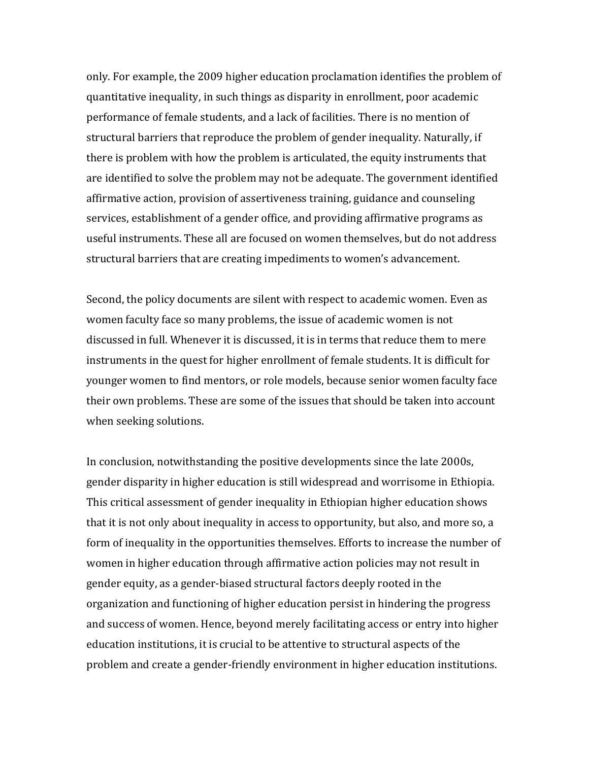only. For example, the 2009 higher education proclamation identifies the problem of quantitative inequality, in such things as disparity in enrollment, poor academic performance of female students, and a lack of facilities. There is no mention of structural barriers that reproduce the problem of gender inequality. Naturally, if there is problem with how the problem is articulated, the equity instruments that are identified to solve the problem may not be adequate. The government identified affirmative action, provision of assertiveness training, guidance and counseling services, establishment of a gender office, and providing affirmative programs as useful instruments. These all are focused on women themselves, but do not address structural barriers that are creating impediments to women's advancement.

Second, the policy documents are silent with respect to academic women. Even as women faculty face so many problems, the issue of academic women is not discussed in full. Whenever it is discussed, it is in terms that reduce them to mere instruments in the quest for higher enrollment of female students. It is difficult for younger women to find mentors, or role models, because senior women faculty face their own problems. These are some of the issues that should be taken into account when seeking solutions.

In conclusion, notwithstanding the positive developments since the late 2000s, gender disparity in higher education is still widespread and worrisome in Ethiopia. This critical assessment of gender inequality in Ethiopian higher education shows that it is not only about inequality in access to opportunity, but also, and more so, a form of inequality in the opportunities themselves. Efforts to increase the number of women in higher education through affirmative action policies may not result in gender equity, as a gender-biased structural factors deeply rooted in the organization and functioning of higher education persist in hindering the progress and success of women. Hence, beyond merely facilitating access or entry into higher education institutions, it is crucial to be attentive to structural aspects of the problem and create a gender-friendly environment in higher education institutions.